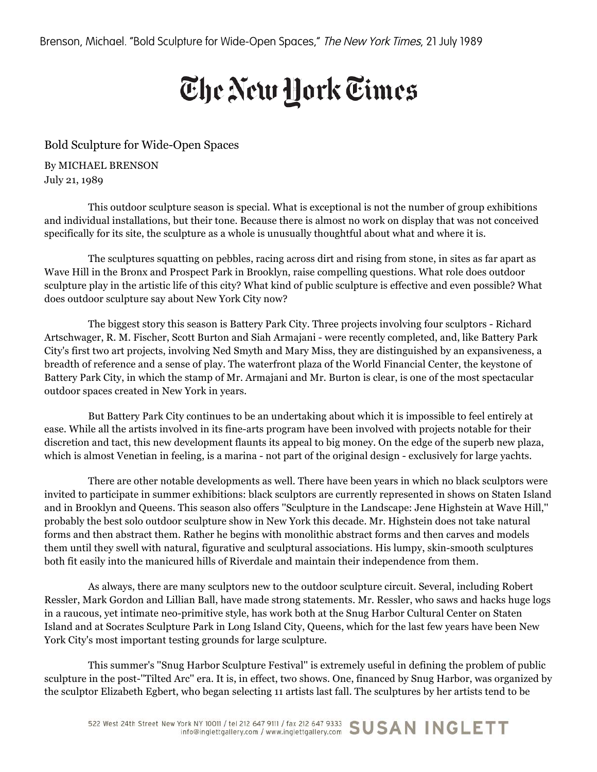## The New York Times

Bold Sculpture for Wide-Open Spaces

By MICHAEL BRENSON July 21, 1989

This outdoor sculpture season is special. What is exceptional is not the number of group exhibitions and individual installations, but their tone. Because there is almost no work on display that was not conceived specifically for its site, the sculpture as a whole is unusually thoughtful about what and where it is.

The sculptures squatting on pebbles, racing across dirt and rising from stone, in sites as far apart as Wave Hill in the Bronx and Prospect Park in Brooklyn, raise compelling questions. What role does outdoor sculpture play in the artistic life of this city? What kind of public sculpture is effective and even possible? What does outdoor sculpture say about New York City now?

The biggest story this season is Battery Park City. Three projects involving four sculptors - Richard Artschwager, R. M. Fischer, Scott Burton and Siah Armajani - were recently completed, and, like Battery Park City's first two art projects, involving Ned Smyth and Mary Miss, they are distinguished by an expansiveness, a breadth of reference and a sense of play. The waterfront plaza of the World Financial Center, the keystone of Battery Park City, in which the stamp of Mr. Armajani and Mr. Burton is clear, is one of the most spectacular outdoor spaces created in New York in years.

But Battery Park City continues to be an undertaking about which it is impossible to feel entirely at ease. While all the artists involved in its fine-arts program have been involved with projects notable for their discretion and tact, this new development flaunts its appeal to big money. On the edge of the superb new plaza, which is almost Venetian in feeling, is a marina - not part of the original design - exclusively for large yachts.

There are other notable developments as well. There have been years in which no black sculptors were invited to participate in summer exhibitions: black sculptors are currently represented in shows on Staten Island and in Brooklyn and Queens. This season also offers ''Sculpture in the Landscape: Jene Highstein at Wave Hill,'' probably the best solo outdoor sculpture show in New York this decade. Mr. Highstein does not take natural forms and then abstract them. Rather he begins with monolithic abstract forms and then carves and models them until they swell with natural, figurative and sculptural associations. His lumpy, skin-smooth sculptures both fit easily into the manicured hills of Riverdale and maintain their independence from them.

As always, there are many sculptors new to the outdoor sculpture circuit. Several, including Robert Ressler, Mark Gordon and Lillian Ball, have made strong statements. Mr. Ressler, who saws and hacks huge logs in a raucous, yet intimate neo-primitive style, has work both at the Snug Harbor Cultural Center on Staten Island and at Socrates Sculpture Park in Long Island City, Queens, which for the last few years have been New York City's most important testing grounds for large sculpture.

This summer's ''Snug Harbor Sculpture Festival'' is extremely useful in defining the problem of public sculpture in the post-''Tilted Arc'' era. It is, in effect, two shows. One, financed by Snug Harbor, was organized by the sculptor Elizabeth Egbert, who began selecting 11 artists last fall. The sculptures by her artists tend to be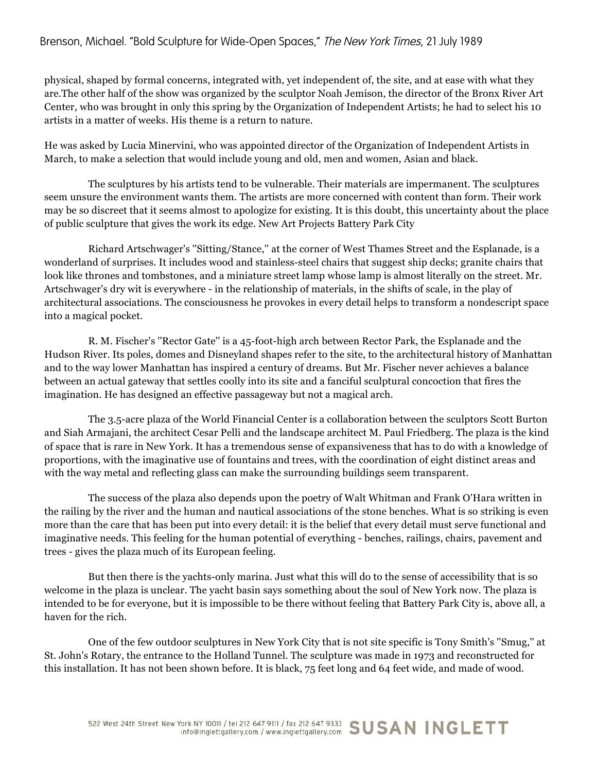physical, shaped by formal concerns, integrated with, yet independent of, the site, and at ease with what they are.The other half of the show was organized by the sculptor Noah Jemison, the director of the Bronx River Art Center, who was brought in only this spring by the Organization of Independent Artists; he had to select his 10 artists in a matter of weeks. His theme is a return to nature.

He was asked by Lucia Minervini, who was appointed director of the Organization of Independent Artists in March, to make a selection that would include young and old, men and women, Asian and black.

The sculptures by his artists tend to be vulnerable. Their materials are impermanent. The sculptures seem unsure the environment wants them. The artists are more concerned with content than form. Their work may be so discreet that it seems almost to apologize for existing. It is this doubt, this uncertainty about the place of public sculpture that gives the work its edge. New Art Projects Battery Park City

Richard Artschwager's ''Sitting/Stance,'' at the corner of West Thames Street and the Esplanade, is a wonderland of surprises. It includes wood and stainless-steel chairs that suggest ship decks; granite chairs that look like thrones and tombstones, and a miniature street lamp whose lamp is almost literally on the street. Mr. Artschwager's dry wit is everywhere - in the relationship of materials, in the shifts of scale, in the play of architectural associations. The consciousness he provokes in every detail helps to transform a nondescript space into a magical pocket.

R. M. Fischer's ''Rector Gate'' is a 45-foot-high arch between Rector Park, the Esplanade and the Hudson River. Its poles, domes and Disneyland shapes refer to the site, to the architectural history of Manhattan and to the way lower Manhattan has inspired a century of dreams. But Mr. Fischer never achieves a balance between an actual gateway that settles coolly into its site and a fanciful sculptural concoction that fires the imagination. He has designed an effective passageway but not a magical arch.

The 3.5-acre plaza of the World Financial Center is a collaboration between the sculptors Scott Burton and Siah Armajani, the architect Cesar Pelli and the landscape architect M. Paul Friedberg. The plaza is the kind of space that is rare in New York. It has a tremendous sense of expansiveness that has to do with a knowledge of proportions, with the imaginative use of fountains and trees, with the coordination of eight distinct areas and with the way metal and reflecting glass can make the surrounding buildings seem transparent.

The success of the plaza also depends upon the poetry of Walt Whitman and Frank O'Hara written in the railing by the river and the human and nautical associations of the stone benches. What is so striking is even more than the care that has been put into every detail: it is the belief that every detail must serve functional and imaginative needs. This feeling for the human potential of everything - benches, railings, chairs, pavement and trees - gives the plaza much of its European feeling.

But then there is the yachts-only marina. Just what this will do to the sense of accessibility that is so welcome in the plaza is unclear. The yacht basin says something about the soul of New York now. The plaza is intended to be for everyone, but it is impossible to be there without feeling that Battery Park City is, above all, a haven for the rich.

One of the few outdoor sculptures in New York City that is not site specific is Tony Smith's ''Smug,'' at St. John's Rotary, the entrance to the Holland Tunnel. The sculpture was made in 1973 and reconstructed for this installation. It has not been shown before. It is black, 75 feet long and 64 feet wide, and made of wood.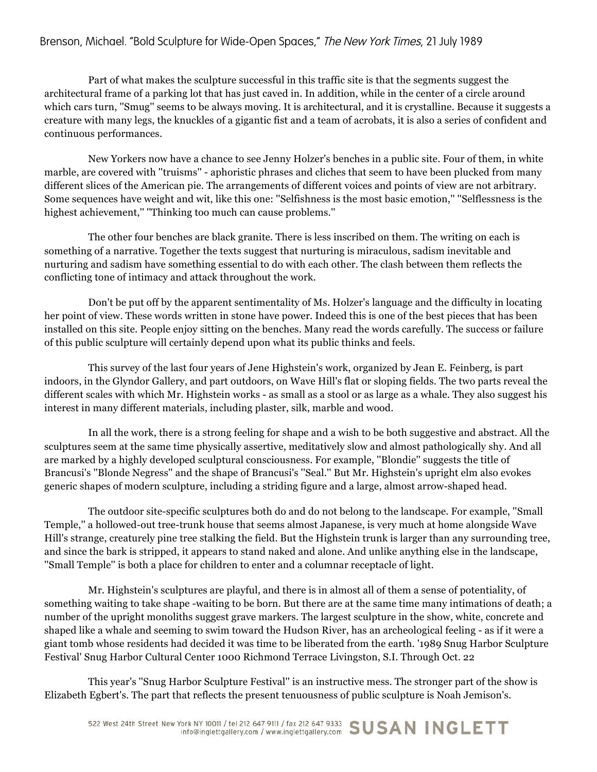## Brenson, Michael. "Bold Sculpture for Wide-Open Spaces," The New York Times, 21 July 1989

Part of what makes the sculpture successful in this traffic site is that the segments suggest the architectural frame of a parking lot that has just caved in. In addition, while in the center of a circle around which cars turn, ''Smug'' seems to be always moving. It is architectural, and it is crystalline. Because it suggests a creature with many legs, the knuckles of a gigantic fist and a team of acrobats, it is also a series of confident and continuous performances.

New Yorkers now have a chance to see Jenny Holzer's benches in a public site. Four of them, in white marble, are covered with ''truisms'' - aphoristic phrases and cliches that seem to have been plucked from many different slices of the American pie. The arrangements of different voices and points of view are not arbitrary. Some sequences have weight and wit, like this one: ''Selfishness is the most basic emotion,'' ''Selflessness is the highest achievement,'' ''Thinking too much can cause problems.''

The other four benches are black granite. There is less inscribed on them. The writing on each is something of a narrative. Together the texts suggest that nurturing is miraculous, sadism inevitable and nurturing and sadism have something essential to do with each other. The clash between them reflects the conflicting tone of intimacy and attack throughout the work.

Don't be put off by the apparent sentimentality of Ms. Holzer's language and the difficulty in locating her point of view. These words written in stone have power. Indeed this is one of the best pieces that has been installed on this site. People enjoy sitting on the benches. Many read the words carefully. The success or failure of this public sculpture will certainly depend upon what its public thinks and feels.

This survey of the last four years of Jene Highstein's work, organized by Jean E. Feinberg, is part indoors, in the Glyndor Gallery, and part outdoors, on Wave Hill's flat or sloping fields. The two parts reveal the different scales with which Mr. Highstein works - as small as a stool or as large as a whale. They also suggest his interest in many different materials, including plaster, silk, marble and wood.

In all the work, there is a strong feeling for shape and a wish to be both suggestive and abstract. All the sculptures seem at the same time physically assertive, meditatively slow and almost pathologically shy. And all are marked by a highly developed sculptural consciousness. For example, ''Blondie'' suggests the title of Brancusi's ''Blonde Negress'' and the shape of Brancusi's ''Seal.'' But Mr. Highstein's upright elm also evokes generic shapes of modern sculpture, including a striding figure and a large, almost arrow-shaped head.

The outdoor site-specific sculptures both do and do not belong to the landscape. For example, ''Small Temple,'' a hollowed-out tree-trunk house that seems almost Japanese, is very much at home alongside Wave Hill's strange, creaturely pine tree stalking the field. But the Highstein trunk is larger than any surrounding tree, and since the bark is stripped, it appears to stand naked and alone. And unlike anything else in the landscape, ''Small Temple'' is both a place for children to enter and a columnar receptacle of light.

Mr. Highstein's sculptures are playful, and there is in almost all of them a sense of potentiality, of something waiting to take shape -waiting to be born. But there are at the same time many intimations of death; a number of the upright monoliths suggest grave markers. The largest sculpture in the show, white, concrete and shaped like a whale and seeming to swim toward the Hudson River, has an archeological feeling - as if it were a giant tomb whose residents had decided it was time to be liberated from the earth. '1989 Snug Harbor Sculpture Festival' Snug Harbor Cultural Center 1000 Richmond Terrace Livingston, S.I. Through Oct. 22

This year's ''Snug Harbor Sculpture Festival'' is an instructive mess. The stronger part of the show is Elizabeth Egbert's. The part that reflects the present tenuousness of public sculpture is Noah Jemison's.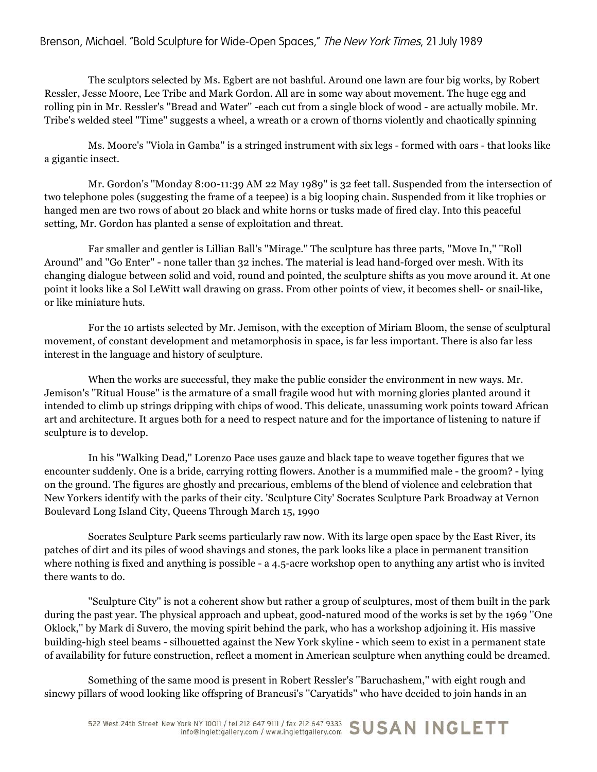## Brenson, Michael. "Bold Sculpture for Wide-Open Spaces," The New York Times, 21 July 1989

The sculptors selected by Ms. Egbert are not bashful. Around one lawn are four big works, by Robert Ressler, Jesse Moore, Lee Tribe and Mark Gordon. All are in some way about movement. The huge egg and rolling pin in Mr. Ressler's ''Bread and Water'' -each cut from a single block of wood - are actually mobile. Mr. Tribe's welded steel ''Time'' suggests a wheel, a wreath or a crown of thorns violently and chaotically spinning

Ms. Moore's ''Viola in Gamba'' is a stringed instrument with six legs - formed with oars - that looks like a gigantic insect.

Mr. Gordon's ''Monday 8:00-11:39 AM 22 May 1989'' is 32 feet tall. Suspended from the intersection of two telephone poles (suggesting the frame of a teepee) is a big looping chain. Suspended from it like trophies or hanged men are two rows of about 20 black and white horns or tusks made of fired clay. Into this peaceful setting, Mr. Gordon has planted a sense of exploitation and threat.

Far smaller and gentler is Lillian Ball's ''Mirage.'' The sculpture has three parts, ''Move In,'' ''Roll Around'' and ''Go Enter'' - none taller than 32 inches. The material is lead hand-forged over mesh. With its changing dialogue between solid and void, round and pointed, the sculpture shifts as you move around it. At one point it looks like a Sol LeWitt wall drawing on grass. From other points of view, it becomes shell- or snail-like, or like miniature huts.

For the 10 artists selected by Mr. Jemison, with the exception of Miriam Bloom, the sense of sculptural movement, of constant development and metamorphosis in space, is far less important. There is also far less interest in the language and history of sculpture.

When the works are successful, they make the public consider the environment in new ways. Mr. Jemison's ''Ritual House'' is the armature of a small fragile wood hut with morning glories planted around it intended to climb up strings dripping with chips of wood. This delicate, unassuming work points toward African art and architecture. It argues both for a need to respect nature and for the importance of listening to nature if sculpture is to develop.

In his ''Walking Dead,'' Lorenzo Pace uses gauze and black tape to weave together figures that we encounter suddenly. One is a bride, carrying rotting flowers. Another is a mummified male - the groom? - lying on the ground. The figures are ghostly and precarious, emblems of the blend of violence and celebration that New Yorkers identify with the parks of their city. 'Sculpture City' Socrates Sculpture Park Broadway at Vernon Boulevard Long Island City, Queens Through March 15, 1990

Socrates Sculpture Park seems particularly raw now. With its large open space by the East River, its patches of dirt and its piles of wood shavings and stones, the park looks like a place in permanent transition where nothing is fixed and anything is possible - a 4.5-acre workshop open to anything any artist who is invited there wants to do.

''Sculpture City'' is not a coherent show but rather a group of sculptures, most of them built in the park during the past year. The physical approach and upbeat, good-natured mood of the works is set by the 1969 ''One Oklock,'' by Mark di Suvero, the moving spirit behind the park, who has a workshop adjoining it. His massive building-high steel beams - silhouetted against the New York skyline - which seem to exist in a permanent state of availability for future construction, reflect a moment in American sculpture when anything could be dreamed.

Something of the same mood is present in Robert Ressler's ''Baruchashem,'' with eight rough and sinewy pillars of wood looking like offspring of Brancusi's ''Caryatids'' who have decided to join hands in an